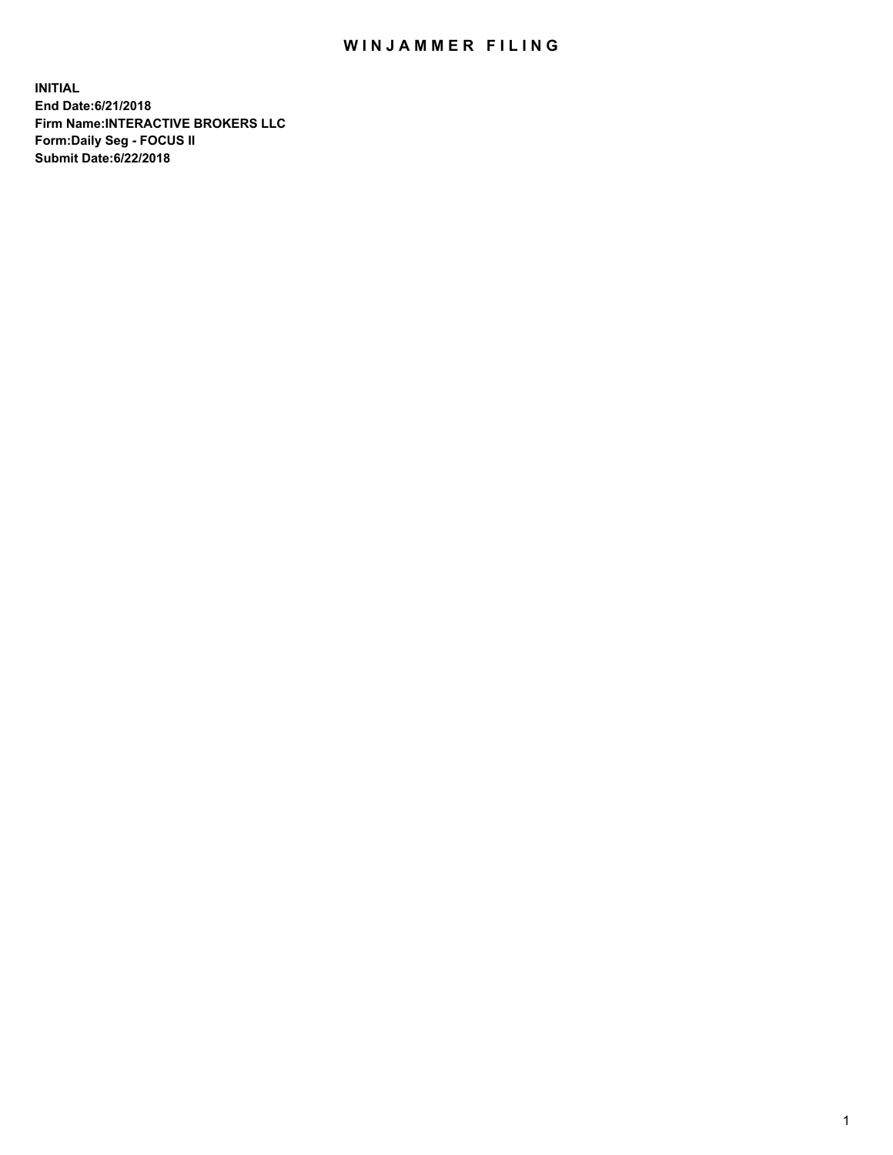## WIN JAMMER FILING

**INITIAL End Date:6/21/2018 Firm Name:INTERACTIVE BROKERS LLC Form:Daily Seg - FOCUS II Submit Date:6/22/2018**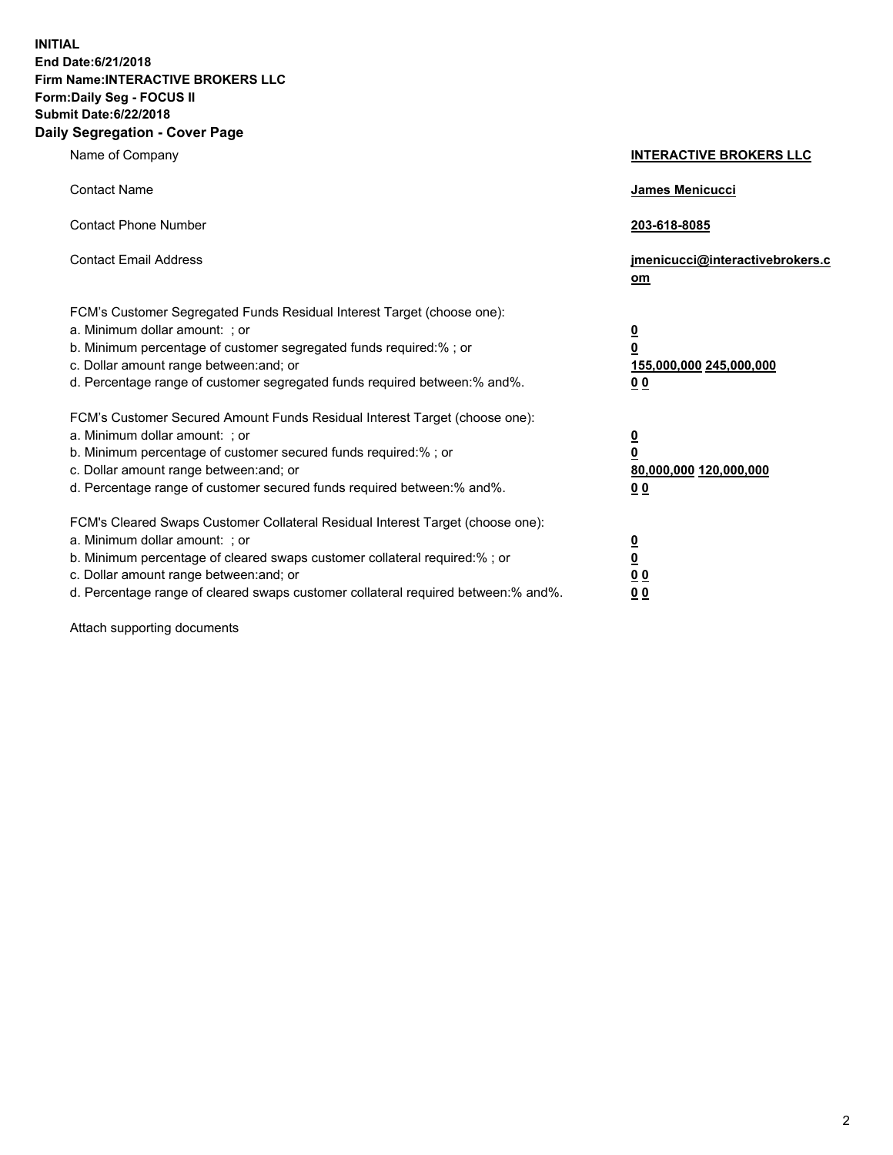**INITIAL End Date:6/21/2018 Firm Name:INTERACTIVE BROKERS LLC Form:Daily Seg - FOCUS II Submit Date:6/22/2018 Daily Segregation - Cover Page**

| Name of Company                                                                                                                                                                                                                                                                                                               | <b>INTERACTIVE BROKERS LLC</b>                                                                  |
|-------------------------------------------------------------------------------------------------------------------------------------------------------------------------------------------------------------------------------------------------------------------------------------------------------------------------------|-------------------------------------------------------------------------------------------------|
| <b>Contact Name</b>                                                                                                                                                                                                                                                                                                           | <b>James Menicucci</b>                                                                          |
| <b>Contact Phone Number</b>                                                                                                                                                                                                                                                                                                   | 203-618-8085                                                                                    |
| <b>Contact Email Address</b>                                                                                                                                                                                                                                                                                                  | jmenicucci@interactivebrokers.c<br>$om$                                                         |
| FCM's Customer Segregated Funds Residual Interest Target (choose one):<br>a. Minimum dollar amount: ; or<br>b. Minimum percentage of customer segregated funds required:% ; or<br>c. Dollar amount range between: and; or<br>d. Percentage range of customer segregated funds required between:% and%.                        | $\overline{\mathbf{0}}$<br>$\overline{\mathbf{0}}$<br>155,000,000 245,000,000<br>0 <sub>0</sub> |
| FCM's Customer Secured Amount Funds Residual Interest Target (choose one):<br>a. Minimum dollar amount: ; or<br>b. Minimum percentage of customer secured funds required:%; or<br>c. Dollar amount range between: and; or<br>d. Percentage range of customer secured funds required between:% and%.                           | $\overline{\mathbf{0}}$<br>$\pmb{0}$<br>80,000,000 120,000,000<br>0 <sub>0</sub>                |
| FCM's Cleared Swaps Customer Collateral Residual Interest Target (choose one):<br>a. Minimum dollar amount: ; or<br>b. Minimum percentage of cleared swaps customer collateral required:%; or<br>c. Dollar amount range between: and; or<br>d. Percentage range of cleared swaps customer collateral required between:% and%. | $\overline{\mathbf{0}}$<br><u>0</u><br>0 <sub>0</sub><br>00                                     |

Attach supporting documents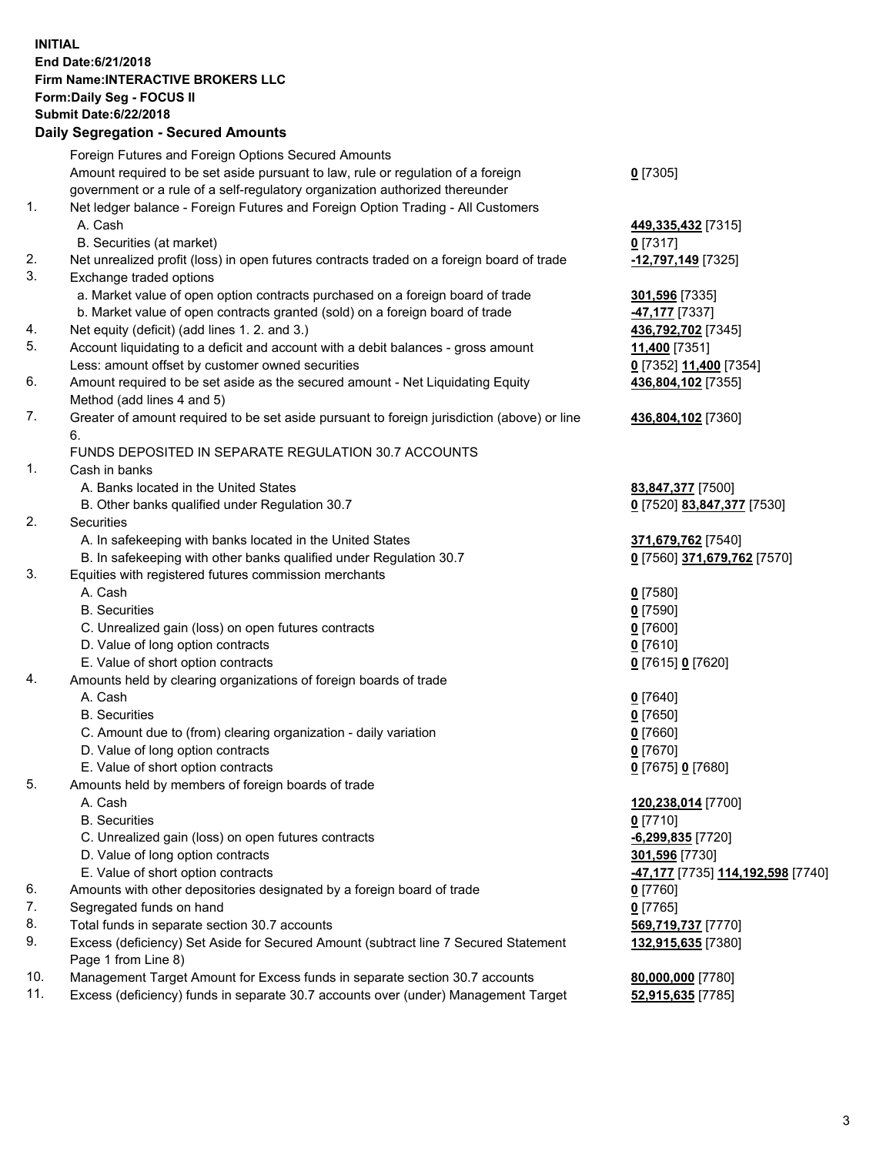## **INITIAL End Date:6/21/2018 Firm Name:INTERACTIVE BROKERS LLC Form:Daily Seg - FOCUS II Submit Date:6/22/2018 Daily Segregation - Secured Amounts**

|                | Daily Jegregation - Jeculed Aniounts                                                              |                                                       |
|----------------|---------------------------------------------------------------------------------------------------|-------------------------------------------------------|
|                | Foreign Futures and Foreign Options Secured Amounts                                               |                                                       |
|                | Amount required to be set aside pursuant to law, rule or regulation of a foreign                  | $0$ [7305]                                            |
|                | government or a rule of a self-regulatory organization authorized thereunder                      |                                                       |
| $\mathbf{1}$ . | Net ledger balance - Foreign Futures and Foreign Option Trading - All Customers                   |                                                       |
|                | A. Cash                                                                                           | 449,335,432 [7315]                                    |
|                | B. Securities (at market)                                                                         | $0$ [7317]                                            |
| 2.             | Net unrealized profit (loss) in open futures contracts traded on a foreign board of trade         | -12,797,149 [7325]                                    |
| 3.             | Exchange traded options                                                                           |                                                       |
|                | a. Market value of open option contracts purchased on a foreign board of trade                    | 301,596 [7335]                                        |
|                | b. Market value of open contracts granted (sold) on a foreign board of trade                      | 47,177 <sup>[7337]</sup>                              |
| 4.             | Net equity (deficit) (add lines 1. 2. and 3.)                                                     | 436,792,702 [7345]                                    |
| 5.             | Account liquidating to a deficit and account with a debit balances - gross amount                 | 11,400 [7351]                                         |
|                | Less: amount offset by customer owned securities                                                  | 0 [7352] 11,400 [7354]                                |
| 6.             | Amount required to be set aside as the secured amount - Net Liquidating Equity                    | 436,804,102 [7355]                                    |
|                | Method (add lines 4 and 5)                                                                        |                                                       |
| 7.             | Greater of amount required to be set aside pursuant to foreign jurisdiction (above) or line<br>6. | 436,804,102 [7360]                                    |
|                | FUNDS DEPOSITED IN SEPARATE REGULATION 30.7 ACCOUNTS                                              |                                                       |
| 1.             | Cash in banks                                                                                     |                                                       |
|                | A. Banks located in the United States                                                             | 83,847,377 [7500]                                     |
|                | B. Other banks qualified under Regulation 30.7                                                    | 0 [7520] 83,847,377 [7530]                            |
| 2.             | Securities                                                                                        |                                                       |
|                | A. In safekeeping with banks located in the United States                                         | 371,679,762 [7540]                                    |
|                | B. In safekeeping with other banks qualified under Regulation 30.7                                | 0 [7560] 371,679,762 [7570]                           |
| 3.             | Equities with registered futures commission merchants                                             |                                                       |
|                | A. Cash                                                                                           | $0$ [7580]                                            |
|                | <b>B.</b> Securities                                                                              | $0$ [7590]                                            |
|                | C. Unrealized gain (loss) on open futures contracts                                               | $0$ [7600]                                            |
|                | D. Value of long option contracts                                                                 | $0$ [7610]                                            |
|                | E. Value of short option contracts                                                                | 0 [7615] 0 [7620]                                     |
| 4.             | Amounts held by clearing organizations of foreign boards of trade                                 |                                                       |
|                | A. Cash                                                                                           | $0$ [7640]                                            |
|                | <b>B.</b> Securities                                                                              | $0$ [7650]                                            |
|                | C. Amount due to (from) clearing organization - daily variation                                   | $0$ [7660]                                            |
|                | D. Value of long option contracts                                                                 | $0$ [7670]                                            |
|                | E. Value of short option contracts                                                                | 0 [7675] 0 [7680]                                     |
| 5.             | Amounts held by members of foreign boards of trade                                                |                                                       |
|                | A. Cash                                                                                           | 120,238,014 [7700]                                    |
|                | <b>B.</b> Securities                                                                              | $0$ [7710]                                            |
|                | C. Unrealized gain (loss) on open futures contracts                                               | $-6,299,835$ [7720]                                   |
|                | D. Value of long option contracts                                                                 | 301,596 [7730]                                        |
|                | E. Value of short option contracts                                                                | <mark>-47,177</mark> [7735] <u>114,192,598</u> [7740] |
| 6.             | Amounts with other depositories designated by a foreign board of trade                            | 0 [7760]                                              |
| 7.             | Segregated funds on hand                                                                          | $0$ [7765]                                            |
| 8.             | Total funds in separate section 30.7 accounts                                                     | 569,719,737 [7770]                                    |
| 9.             | Excess (deficiency) Set Aside for Secured Amount (subtract line 7 Secured Statement               | 132,915,635 [7380]                                    |
|                | Page 1 from Line 8)                                                                               |                                                       |
| 10.            | Management Target Amount for Excess funds in separate section 30.7 accounts                       | 80,000,000 [7780]                                     |
| 11.            | Excess (deficiency) funds in separate 30.7 accounts over (under) Management Target                | 52,915,635 [7785]                                     |
|                |                                                                                                   |                                                       |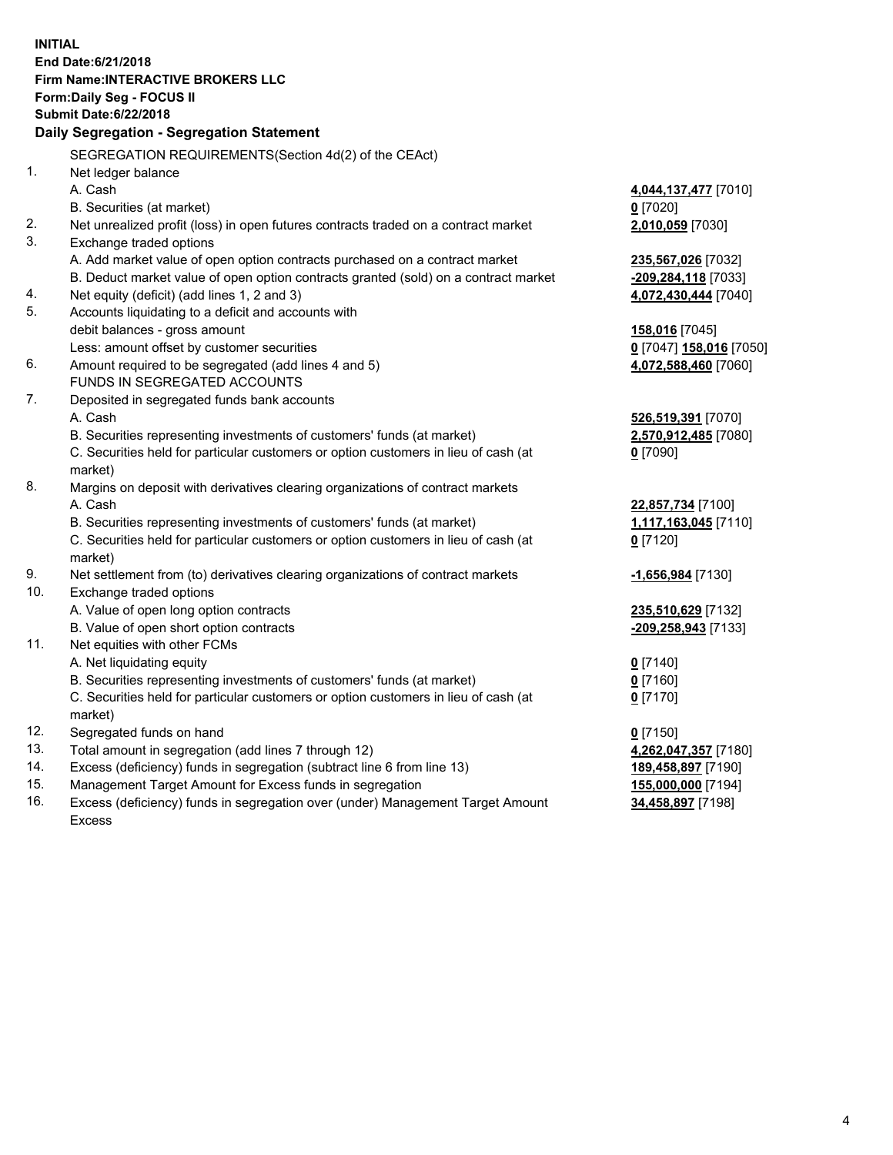**INITIAL End Date:6/21/2018 Firm Name:INTERACTIVE BROKERS LLC Form:Daily Seg - FOCUS II Submit Date:6/22/2018 Daily Segregation - Segregation Statement** SEGREGATION REQUIREMENTS(Section 4d(2) of the CEAct) 1. Net ledger balance A. Cash **4,044,137,477** [7010] B. Securities (at market) **0** [7020] 2. Net unrealized profit (loss) in open futures contracts traded on a contract market **2,010,059** [7030] 3. Exchange traded options A. Add market value of open option contracts purchased on a contract market **235,567,026** [7032] B. Deduct market value of open option contracts granted (sold) on a contract market **-209,284,118** [7033] 4. Net equity (deficit) (add lines 1, 2 and 3) **4,072,430,444** [7040] 5. Accounts liquidating to a deficit and accounts with debit balances - gross amount **158,016** [7045] Less: amount offset by customer securities **0** [7047] **158,016** [7050] 6. Amount required to be segregated (add lines 4 and 5) **4,072,588,460** [7060] FUNDS IN SEGREGATED ACCOUNTS 7. Deposited in segregated funds bank accounts A. Cash **526,519,391** [7070] B. Securities representing investments of customers' funds (at market) **2,570,912,485** [7080] C. Securities held for particular customers or option customers in lieu of cash (at market) **0** [7090] 8. Margins on deposit with derivatives clearing organizations of contract markets A. Cash **22,857,734** [7100] B. Securities representing investments of customers' funds (at market) **1,117,163,045** [7110] C. Securities held for particular customers or option customers in lieu of cash (at market) **0** [7120] 9. Net settlement from (to) derivatives clearing organizations of contract markets **-1,656,984** [7130] 10. Exchange traded options A. Value of open long option contracts **235,510,629** [7132] B. Value of open short option contracts **-209,258,943** [7133] 11. Net equities with other FCMs A. Net liquidating equity **0** [7140] B. Securities representing investments of customers' funds (at market) **0** [7160] C. Securities held for particular customers or option customers in lieu of cash (at market) **0** [7170] 12. Segregated funds on hand **0** [7150] 13. Total amount in segregation (add lines 7 through 12) **4,262,047,357** [7180] 14. Excess (deficiency) funds in segregation (subtract line 6 from line 13) **189,458,897** [7190] 15. Management Target Amount for Excess funds in segregation **155,000,000** [7194]

16. Excess (deficiency) funds in segregation over (under) Management Target Amount Excess

**34,458,897** [7198]